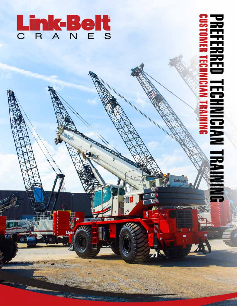

# **HEFERRET** 豆 **MICIAN TRAIN**

**2015** COURSE CATALOG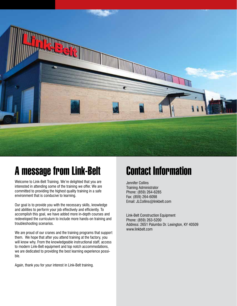

# A message from Link-Belt

Welcome to Link-Belt Training. We're delighted that you are interested in attending some of the training we offer. We are committed to providing the highest quality training in a safe environment that is conducive to learning.

Our goal is to provide you with the necessary skills, knowledge and abilities to perform your job effectively and efficiently. To accomplish this goal, we have added more in-depth courses and redeveloped the curriculum to include more hands-on training and troubleshooting scenarios.

We are proud of our cranes and the training programs that support them. We hope that after you attend training at the factory, you will know why. From the knowledgeable instructional staff, access to modern Link-Belt equipment and top notch accommodations, we are dedicated to providing the best learning experience possible.

Again, thank you for your interest in Link-Belt training.

# Contact Information

Jennifer Collins Training Administrator Phone: (859) 264-6285 Fax: (859) 264-6098 Email: JLCollins@linkbelt.com

Link-Belt Construction Equipment Phone: (859) 263-5200 Address: 2651 Palumbo Dr. Lexington, KY 40509 www.linkbelt.com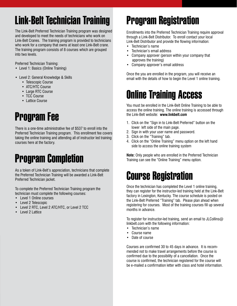# Link-Belt Technician Training

The Link-Belt Preferred Technician Training program was designed and developed to meet the needs of technicians who work on Link-Belt Cranes. The training program is provided to technicians who work for a company that owns at least one Link-Belt crane. The training program consists of 8 courses which are grouped into two levels.

Preferred Technician Training:

- Level 1: Basics (Online Training)
- Level 2: General Knowledge & Skills
	- Telescopic Course
	- ATC/HTC Course
	- Large RTC Course
	- TCC Course
	- Lattice Course

# Program Fee

There is a one-time administrative fee of \$537 to enroll into the Preferred Technician Training program. This enrollment fee covers taking the online training and attending all of instructor led training courses here at the factory.

# Program Completion

As a token of Link-Belt's appreciation, technicians that complete the Preferred Technician Training will be awarded a Link-Belt Preferred Technician jacket.

To complete the Preferred Technician Training program the technician must complete the following courses:

- Level 1 Online courses
- Level 2 Telescopic
- Level 2 RTC, Level 2 ATC/HTC, or Level 2 TCC
- Level 2 Lattice

# Program Registration

Enrollments into the Preferred Technician Training require approval through a Link-Belt Distributor. To enroll contact your local Link-Belt Distributor and provide the flowing information:

- Technician's name
- Technician's email address
- Company approver (person within your company that approves the training)
- Company approver's email address

Once the you are enrolled in the program, you will receive an email with the details of how to begin the Level 1 online training.

# Online Training Access

You must be enrolled in the Link-Belt Online Training to be able to access the online training. The online training is accessed through the Link-Belt website: **www.linkbelt.com**

- 1. Click on the "Sign in to Link-Belt Preferred" button on the lower left side of the main page.
- 2. Sign in with your user name and password.
- 3. Click on the "Training" tab.
- 4. Click on the "Online Training" menu option on the left hand side to access the online training system

**Note:** Only people who are enrolled in the Preferred Technician Training can see the "Online Training" menu option.

# Course Registration

Once the technician has completed the Level 1 online training, they can register for the instructor-led training held at the Link-Belt factory in Lexington, Kentucky. The course schedule is posted on the Link-Belt Preferred "Training" tab. Please plan ahead when registering for courses. Most of the training courses fill up several months in advance.

To register for instructor-led training, send an email to JLCollins@ linkbelt.com with the following information:

- Technician's name
- Course name
- Date of course

Courses are confirmed 30 to 45 days in advance. It is recommended not to make travel arrangements before the course is confirmed due to the possibility of a cancellation. Once the course is confirmed, the technician registered for the course will be e-mailed a confirmation letter with class and hotel information.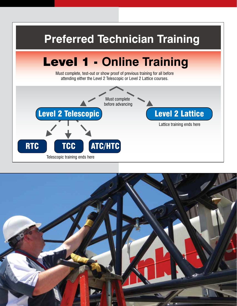

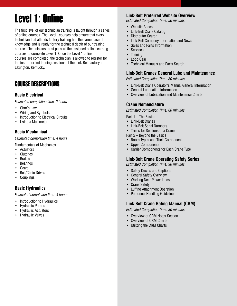# Level 1: Online

The first level of our technician training is taught through a series of online courses. The Level 1courses help ensure that every technician that attends factory training has the same base of knowledge and is ready for the technical depth of our training courses. Technicians must pass all the assigned online learning courses to complete Level 1. Once the Level 1 online courses are completed, the technician is allowed to register for the instructor-led training sessions at the Link-Belt factory in Lexington, Kentucky.

# COURSE DESCRIPTIONS

# **Basic Electrical**

*Estimated completion time: 2 hours*

- Ohm's Law
- Wiring and Symbols
- Introduction to Electrical Circuits
- Using a Multimeter

# **Basic Mechanical**

*Estimated completion time: 4 hours*

Fundamentals of Mechanics

- Actuators
- Clutches
- **Brakes**
- **Bearings**
- Gears
- Belt/Chain Drives
- Couplings

# **Basic Hydraulics**

*Estimated completion time: 4 hours*

- Introduction to Hydraulics
- Hydraulic Pumps
- Hydraulic Actuators
- Hydraulic Valves

# **Link-Belt Preferred Website Overview**

*Estimated Completion Time: 50 minutes*

- Website Access
- Link-Belt Crane Catalog
- Distributor Search
- Link-Belt Company Information and News
- Sales and Parts Information
- Services
- Training
- Logo Gear
- Technical Manuals and Parts Search

# **Link-Belt Cranes General Lube and Maintenance**

*Estimated Completion Time: 30 minutes*

- Link-Belt Crane Operator's Manual General Information
- General Lubrication Information
- Overview of Lubrication and Maintenance Charts

# **Crane Nomenclature**

*Estimated Completion Time: 60 minutes*

Part 1 – The Basics

- Link-Belt Cranes
- Link-Belt Serial Numbers
- Terms for Sections of a Crane

Part 2 – Beyond the Basics

- Boom Types and Their Components
- Upper Components
- Carrier Components for Each Crane Type

## **Link-Belt Crane Operating Safety Series**

*Estimated Completion Time: 90 minutes*

- Safety Decals and Captions
- General Safety Overview
- Working Near Power Lines
- Crane Safety
- Luffing Attachment Operation
- Personnel Handling Guidelines

## **Link-Belt Crane Rating Manual (CRM)**

*Estimated Completion Time: 30 minutes*

- Overview of CRM Notes Section
- Overview of CRM Charts
- Utilizing the CRM Charts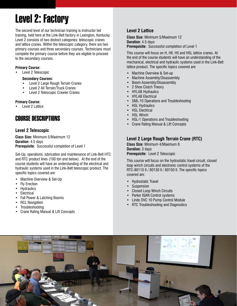# Level 2: Factory

The second level of our technician training is instructor led training, held here at the Link-Belt factory in Lexington, Kentucky. Level 2 consists of two distinct categories: telescopic cranes and lattice cranes. Within the telescopic category, there are two primary courses and three secondary courses. Technicians must complete the primary course before they are eligible to proceed to the secondary courses.

## **Primary Course:**

• Level 2 Telescopic

## **Secondary Courses:**

- Level 2 Large Rough Terrain Cranes
- Level 2 All Terrain/Truck Cranes
- Level 2 Telescopic Crawler Cranes

## **Primary Course:**

• Level 2 Lattice

# COURSE DESCRIPTIONS

# **Level 2 Telescopic**

**Class Size:** Minimum 5/Maximum 12 **Duration:** 4.5 days **Prerequisite**: Successful completion of Level 1

Set-Up, operations, lubrication and maintenance of Link-Belt HTC and RTC product lines (100 ton and below). At the end of the course students will have an understanding of the electrical and hydraulic systems used in the Link-Belt telescopic product. The specific topics covered are:

- Machine Overview & Set-Up
- Fly Erection
- **Hydraulics**
- **Electrical**
- Full Power & Latching Booms
- RCL Navigation
- Troubleshooting
- Crane Rating Manual & Lift Concepts

# **Level 2 Lattice**

**Class Size:** Minimum 5/Maximum 12 **Duration:** 4.5 days **Prerequisite:** Successful completion of Level 1

This course will focus on H, HII, H5 and HSL lattice cranes. At the end of the course students will have an understanding of the mechanical, electrical and hydraulic systems used in the Link-Belt lattice product. The specific topics covered are:

- Machine Overview & Set-up
- Machine Assembly/Disassembly
- Boom Assembly/Disassembly
- 2 Shoe Clutch Theory
- HYLAB Hydraulics
- HYLAB Electrical
- SML-10 Operations and Troubleshooting
- **HSL Hydraulics**
- **HSL Electrical**
- HSL Winch
- HSL-1 Operations and Troubleshooting
- Crane Rating Manual & Lift Concepts

# **Level 2 Large Rough Terrain Crane (RTC)**

**Class Size:** Minimum 4/Maximum 8 **Duration:** 3 days **Prerequisite:** Level 2 Telescopic

This course will focus on the hydrostatic travel circuit, closed loop winch circuits and electronic control systems of the RTC-80110 II / 80130 II / 80150 II. The specific topics covered are:

- Hydrostatic Travel
- Suspension
- Closed Loop Winch Circuits
- Parker IQAN Control systems
- Linde DVC 10 Pump Control Module
- RTC Troubleshooting and Diagnostics

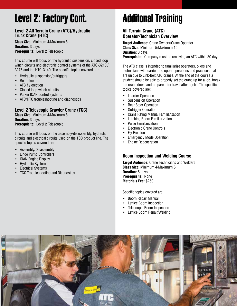# Level 2: Factory Cont.

## **Level 2 All Terrain Crane (ATC)/Hydraulic Truck Crane (HTC)**

**Class Size:** Minimum 4/Maximum 8 **Duration:** 3 days **Prerequisite:** Level 2 Telescopic

This course will focus on the hydraulic suspension, closed loop winch circuits and electronic control systems of the ATC-3210 / 3275 and the HTC-3140. The specific topics covered are:

- Hydraulic suspension/outriggers
- Rear steer
- ATC fly erection
- Closed loop winch circuits
- Parker IQAN control systems
- ATC/HTC troubleshooting and diagnostics

# **Level 2 Telescopic Crawler Crane (TCC)**

**Class Size:** Minimum 4/Maximum 8 **Duration:** 3 days **Prerequisite:** Level 2 Telescopic

This course will focus on the assembly/disassembly, hydraulic circuits and electrical circuits used on the TCC product line. The specific topics covered are:

- Assembly/Disassembly
- Linde Pump Controllers
- IQAN Engine Display
- Hydraulic Systems
- **Electrical Systems**
- TCC Troubleshooting and Diagnostics

# Additonal Training

## **All Terrain Crane (ATC) Operator/Technician Overview**

**Target Audience:** Crane Owners/Crane Operator **Class Size:** Minimum 5/Maximum 10 **Duration:** 3 days **Prerequisite:** Company must be receiving an ATC within 30 days

The ATC class is intended to familiarize operators, oilers and technicians with carrier and upper operations and practices that are unique to Link-Belt ATC cranes. At the end of the course a student should be able to properly set the crane up for a job, break the crane down and prepare it for travel after a job. The specific topics covered are:

- Intarder Operation
- Suspension Operation
- Rear Steer Operation
- Outrigger Operation
- Crane Rating Manual Familiarization
- Latching Boom Familiarization
- Pulse Familiarization
- Electronic Crane Controls
- Fly Erection
- Emergency Mode Operation
- Engine Regeneration

## **Boom Inspection and Welding Course**

**Target Audience:** Crane Technicians and Welders **Class Size:** Minimum 4/Maximum 6 **Duration:** 5 days **Prerequisite:** None **Materials Fee:** \$250

Specific topics covered are:

- Boom Repair Manual
- Lattice Boom Inspection
- Telescopic Boom Inspection
- Lattice Boom Repair/Welding